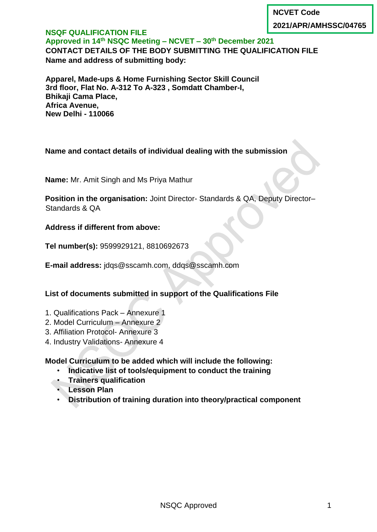**NCVET Code**

**2021/APR/AMHSSC/04765**

#### **NSQF QUALIFICATION FILE Approved in 14 th NSQC Meeting – NCVET – 30th December 2021 CONTACT DETAILS OF THE BODY SUBMITTING THE QUALIFICATION FILE Name and address of submitting body:**

**Apparel, Made-ups & Home Furnishing Sector Skill Council 3rd floor, Flat No. A-312 To A-323 , Somdatt Chamber-I, Bhikaji Cama Place, Africa Avenue, New Delhi - 110066**

## **Name and contact details of individual dealing with the submission**

**Name:** Mr. Amit Singh and Ms Priya Mathur

**Position in the organisation:** Joint Director- Standards & QA, Deputy Director– Standards & QA

**Address if different from above:**

**Tel number(s):** 9599929121, 8810692673

**E-mail address:** jdqs@sscamh.com, ddqs@sscamh.com

### **List of documents submitted in support of the Qualifications File**

- 1. Qualifications Pack Annexure 1
- 2. Model Curriculum Annexure 2
- 3. Affiliation Protocol- Annexure 3
- 4. Industry Validations- Annexure 4

**Model Curriculum to be added which will include the following:**

- **Indicative list of tools/equipment to conduct the training**
- **Trainers qualification**
- **Lesson Plan**
- **Distribution of training duration into theory/practical component**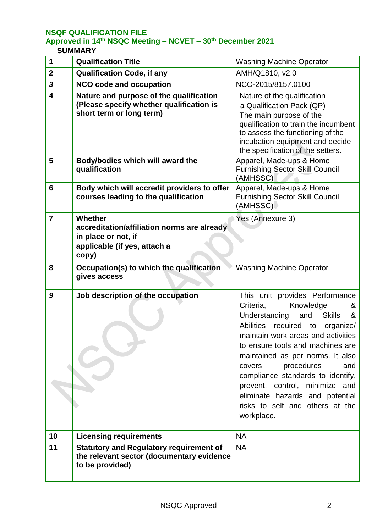# **Approved in 14 th NSQC Meeting – NCVET – 30th December 2021**

#### **SUMMARY**

| 1              | <b>Qualification Title</b>                                                                                             | <b>Washing Machine Operator</b>                                                                                                                                                                                                                                                                                                                                                                                                                                     |
|----------------|------------------------------------------------------------------------------------------------------------------------|---------------------------------------------------------------------------------------------------------------------------------------------------------------------------------------------------------------------------------------------------------------------------------------------------------------------------------------------------------------------------------------------------------------------------------------------------------------------|
| $\mathbf{2}$   | <b>Qualification Code, if any</b>                                                                                      | AMH/Q1810, v2.0                                                                                                                                                                                                                                                                                                                                                                                                                                                     |
| $\mathbf{3}$   | <b>NCO code and occupation</b>                                                                                         | NCO-2015/8157.0100                                                                                                                                                                                                                                                                                                                                                                                                                                                  |
| 4              | Nature and purpose of the qualification<br>(Please specify whether qualification is<br>short term or long term)        | Nature of the qualification<br>a Qualification Pack (QP)<br>The main purpose of the<br>qualification to train the incumbent<br>to assess the functioning of the<br>incubation equipment and decide<br>the specification of the setters.                                                                                                                                                                                                                             |
| 5              | Body/bodies which will award the<br>qualification                                                                      | Apparel, Made-ups & Home<br><b>Furnishing Sector Skill Council</b><br>(AMHSSC)                                                                                                                                                                                                                                                                                                                                                                                      |
| 6              | Body which will accredit providers to offer<br>courses leading to the qualification                                    | Apparel, Made-ups & Home<br><b>Furnishing Sector Skill Council</b><br>(AMHSSC)                                                                                                                                                                                                                                                                                                                                                                                      |
| $\overline{7}$ | Whether<br>accreditation/affiliation norms are already<br>in place or not, if<br>applicable (if yes, attach a<br>copy) | Yes (Annexure 3)                                                                                                                                                                                                                                                                                                                                                                                                                                                    |
| 8              | Occupation(s) to which the qualification<br>gives access                                                               | <b>Washing Machine Operator</b>                                                                                                                                                                                                                                                                                                                                                                                                                                     |
| 9              | Job description of the occupation                                                                                      | This unit provides Performance<br>Criteria,<br>Knowledge<br>&<br>Understanding<br><b>Skills</b><br>and<br>&<br><b>Abilities</b><br>required to<br>organize/<br>maintain work areas and activities<br>to ensure tools and machines are<br>maintained as per norms. It also<br>procedures<br>and<br>covers<br>compliance standards to identify,<br>prevent, control, minimize and<br>eliminate hazards and potential<br>risks to self and others at the<br>workplace. |
| 10             | <b>Licensing requirements</b>                                                                                          | <b>NA</b>                                                                                                                                                                                                                                                                                                                                                                                                                                                           |
| 11             | <b>Statutory and Regulatory requirement of</b><br>the relevant sector (documentary evidence<br>to be provided)         | <b>NA</b>                                                                                                                                                                                                                                                                                                                                                                                                                                                           |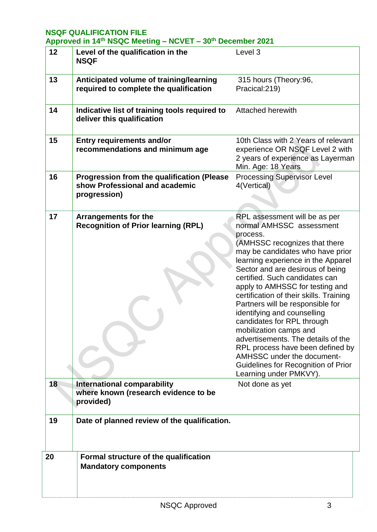| Approved in 14th NSQC Meeting - NCVET - 30th December 2021 |  |  |  |
|------------------------------------------------------------|--|--|--|
|------------------------------------------------------------|--|--|--|

| 'r" |                                                                                                     |                                                                                                                                                                                                                                                                                                                                                                                                                                                                                                                                                                                                                                          |
|-----|-----------------------------------------------------------------------------------------------------|------------------------------------------------------------------------------------------------------------------------------------------------------------------------------------------------------------------------------------------------------------------------------------------------------------------------------------------------------------------------------------------------------------------------------------------------------------------------------------------------------------------------------------------------------------------------------------------------------------------------------------------|
| 12  | Level of the qualification in the<br><b>NSQF</b>                                                    | Level 3                                                                                                                                                                                                                                                                                                                                                                                                                                                                                                                                                                                                                                  |
| 13  | Anticipated volume of training/learning<br>required to complete the qualification                   | 315 hours (Theory:96,<br>Pracical: 219)                                                                                                                                                                                                                                                                                                                                                                                                                                                                                                                                                                                                  |
| 14  | Indicative list of training tools required to<br>deliver this qualification                         | <b>Attached herewith</b>                                                                                                                                                                                                                                                                                                                                                                                                                                                                                                                                                                                                                 |
| 15  | <b>Entry requirements and/or</b><br>recommendations and minimum age                                 | 10th Class with 2 Years of relevant<br>experience OR NSQF Level 2 with<br>2 years of experience as Layerman<br>Min. Age: 18 Years                                                                                                                                                                                                                                                                                                                                                                                                                                                                                                        |
| 16  | <b>Progression from the qualification (Please</b><br>show Professional and academic<br>progression) | <b>Processing Supervisor Level</b><br>4(Vertical)                                                                                                                                                                                                                                                                                                                                                                                                                                                                                                                                                                                        |
| 17  | Arrangements for the<br><b>Recognition of Prior learning (RPL)</b>                                  | RPL assessment will be as per<br>normal AMHSSC assessment<br>process.<br>(AMHSSC recognizes that there<br>may be candidates who have prior<br>learning experience in the Apparel<br>Sector and are desirous of being<br>certified. Such candidates can<br>apply to AMHSSC for testing and<br>certification of their skills. Training<br>Partners will be responsible for<br>identifying and counselling<br>candidates for RPL through<br>mobilization camps and<br>advertisements. The details of the<br>RPL process have been defined by<br>AMHSSC under the document-<br>Guidelines for Recognition of Prior<br>Learning under PMKVY). |
| 18  | <b>International comparability</b><br>where known (research evidence to be<br>provided)             | Not done as yet                                                                                                                                                                                                                                                                                                                                                                                                                                                                                                                                                                                                                          |
| 19  | Date of planned review of the qualification.                                                        |                                                                                                                                                                                                                                                                                                                                                                                                                                                                                                                                                                                                                                          |
| 20  | Formal structure of the qualification<br><b>Mandatory components</b>                                |                                                                                                                                                                                                                                                                                                                                                                                                                                                                                                                                                                                                                                          |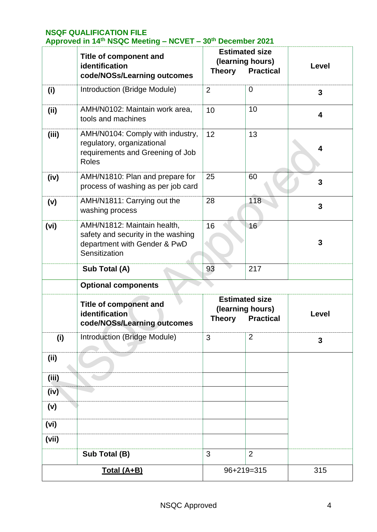|             | <b>Title of component and</b><br>identification<br><b>Theory</b><br>code/NOSs/Learning outcomes                    |                                                                                | <b>Estimated size</b><br>(learning hours)<br><b>Practical</b> | Level                   |
|-------------|--------------------------------------------------------------------------------------------------------------------|--------------------------------------------------------------------------------|---------------------------------------------------------------|-------------------------|
| (i)         | Introduction (Bridge Module)                                                                                       | $\overline{2}$                                                                 | $\overline{0}$                                                | 3                       |
| (ii)        | AMH/N0102: Maintain work area,<br>tools and machines                                                               | 10                                                                             | 10                                                            | $\overline{\mathbf{4}}$ |
| (iii)       | AMH/N0104: Comply with industry,<br>regulatory, organizational<br>requirements and Greening of Job<br><b>Roles</b> | 12                                                                             | 13                                                            | 4                       |
| (iv)        | AMH/N1810: Plan and prepare for<br>process of washing as per job card                                              | 25                                                                             | 60                                                            | $\overline{3}$          |
| (v)         | AMH/N1811: Carrying out the<br>washing process                                                                     | 28                                                                             | 118                                                           | $\overline{3}$          |
| (vi)        | AMH/N1812: Maintain health,<br>safety and security in the washing<br>department with Gender & PwD<br>Sensitization | 16                                                                             | 16                                                            | 3                       |
|             | Sub Total (A)                                                                                                      | 93                                                                             | 217                                                           |                         |
|             | <b>Optional components</b>                                                                                         |                                                                                |                                                               |                         |
|             | <b>Title of component and</b><br>identification<br>code/NOSs/Learning outcomes                                     | <b>Estimated size</b><br>(learning hours)<br><b>Practical</b><br><b>Theory</b> |                                                               | Level                   |
| (i)         | Introduction (Bridge Module)                                                                                       | 3                                                                              | $\overline{2}$                                                | 3                       |
| (ii)        |                                                                                                                    |                                                                                |                                                               |                         |
| (iii)       |                                                                                                                    |                                                                                |                                                               |                         |
| (iv)        |                                                                                                                    |                                                                                |                                                               |                         |
| (v)         |                                                                                                                    |                                                                                |                                                               |                         |
| (vi)        |                                                                                                                    |                                                                                |                                                               |                         |
| (vii)       |                                                                                                                    |                                                                                |                                                               |                         |
|             | Sub Total (B)                                                                                                      | 3                                                                              | $\overline{2}$                                                |                         |
| Total (A+B) |                                                                                                                    |                                                                                | 96+219=315                                                    | 315                     |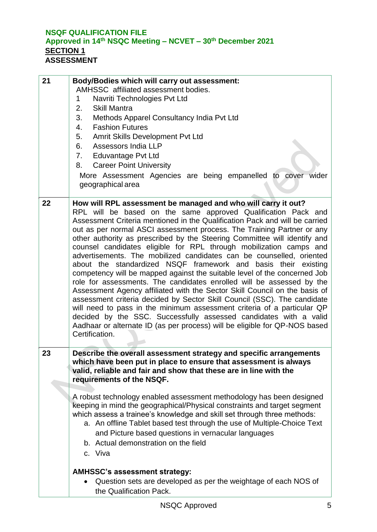### **NSQF QUALIFICATION FILE Approved in 14 th NSQC Meeting – NCVET – 30th December 2021 SECTION 1 ASSESSMENT**

| 21 | <b>Body/Bodies which will carry out assessment:</b><br>AMHSSC affiliated assessment bodies.<br>Navriti Technologies Pvt Ltd<br>1<br>2.<br><b>Skill Mantra</b><br>3.<br>Methods Apparel Consultancy India Pvt Ltd<br><b>Fashion Futures</b><br>4.<br>5.<br>Amrit Skills Development Pvt Ltd<br>Assessors India LLP<br>6.<br>Eduvantage Pvt Ltd<br>7.<br><b>Career Point University</b><br>8.<br>More Assessment Agencies are being empanelled to cover wider<br>geographical area                                                                                                                                                                                                                                                                                                                                                                                                                                                                                                                                                                                                                                                                     |
|----|------------------------------------------------------------------------------------------------------------------------------------------------------------------------------------------------------------------------------------------------------------------------------------------------------------------------------------------------------------------------------------------------------------------------------------------------------------------------------------------------------------------------------------------------------------------------------------------------------------------------------------------------------------------------------------------------------------------------------------------------------------------------------------------------------------------------------------------------------------------------------------------------------------------------------------------------------------------------------------------------------------------------------------------------------------------------------------------------------------------------------------------------------|
| 22 | How will RPL assessment be managed and who will carry it out?<br>RPL will be based on the same approved Qualification Pack and<br>Assessment Criteria mentioned in the Qualification Pack and will be carried<br>out as per normal ASCI assessment process. The Training Partner or any<br>other authority as prescribed by the Steering Committee will identify and<br>counsel candidates eligible for RPL through mobilization camps and<br>advertisements. The mobilized candidates can be counselled, oriented<br>about the standardized NSQF framework and basis their existing<br>competency will be mapped against the suitable level of the concerned Job<br>role for assessments. The candidates enrolled will be assessed by the<br>Assessment Agency affiliated with the Sector Skill Council on the basis of<br>assessment criteria decided by Sector Skill Council (SSC). The candidate<br>will need to pass in the minimum assessment criteria of a particular QP<br>decided by the SSC. Successfully assessed candidates with a valid<br>Aadhaar or alternate ID (as per process) will be eligible for QP-NOS based<br>Certification. |
| 23 | Describe the overall assessment strategy and specific arrangements<br>which have been put in place to ensure that assessment is always<br>valid, reliable and fair and show that these are in line with the<br>requirements of the NSQF.<br>A robust technology enabled assessment methodology has been designed<br>keeping in mind the geographical/Physical constraints and target segment<br>which assess a trainee's knowledge and skill set through three methods:<br>a. An offline Tablet based test through the use of Multiple-Choice Text<br>and Picture based questions in vernacular languages<br>b. Actual demonstration on the field<br>c. Viva                                                                                                                                                                                                                                                                                                                                                                                                                                                                                         |
|    | <b>AMHSSC's assessment strategy:</b><br>Question sets are developed as per the weightage of each NOS of<br>the Qualification Pack.                                                                                                                                                                                                                                                                                                                                                                                                                                                                                                                                                                                                                                                                                                                                                                                                                                                                                                                                                                                                                   |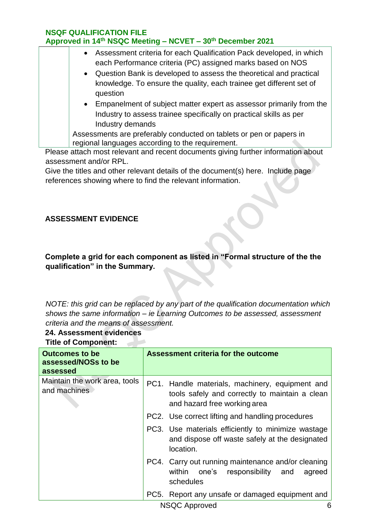| • Assessment criteria for each Qualification Pack developed, in which<br>each Performance criteria (PC) assigned marks based on NOS<br>• Question Bank is developed to assess the theoretical and practical<br>knowledge. To ensure the quality, each trainee get different set of |
|------------------------------------------------------------------------------------------------------------------------------------------------------------------------------------------------------------------------------------------------------------------------------------|
| question                                                                                                                                                                                                                                                                           |
| • Empanelment of subject matter expert as assessor primarily from the<br>Industry to assess trainee specifically on practical skills as per<br>Industry demands                                                                                                                    |
| Assessments are preferably conducted on tablets or pen or papers in<br>regional languages according to the requirement.                                                                                                                                                            |

Please attach most relevant and recent documents giving further information about assessment and/or RPL.

Give the titles and other relevant details of the document(s) here. Include page references showing where to find the relevant information.

## **ASSESSMENT EVIDENCE**

## **Complete a grid for each component as listed in "Formal structure of the the qualification" in the Summary.**

*NOTE: this grid can be replaced by any part of the qualification documentation which shows the same information – ie Learning Outcomes to be assessed, assessment criteria and the means of assessment.* 

## **24. Assessment evidences**

**Title of Component:**

| <b>Outcomes to be</b><br>assessed/NOSs to be<br>assessed | Assessment criteria for the outcome                                                                                               |
|----------------------------------------------------------|-----------------------------------------------------------------------------------------------------------------------------------|
| Maintain the work area, tools<br>and machines            | PC1. Handle materials, machinery, equipment and<br>tools safely and correctly to maintain a clean<br>and hazard free working area |
|                                                          | PC2. Use correct lifting and handling procedures                                                                                  |
|                                                          | PC3. Use materials efficiently to minimize wastage<br>and dispose off waste safely at the designated<br>location.                 |
|                                                          | PC4. Carry out running maintenance and/or cleaning<br>one's responsibility and<br>within<br>agreed<br>schedules                   |
|                                                          | PC5. Report any unsafe or damaged equipment and                                                                                   |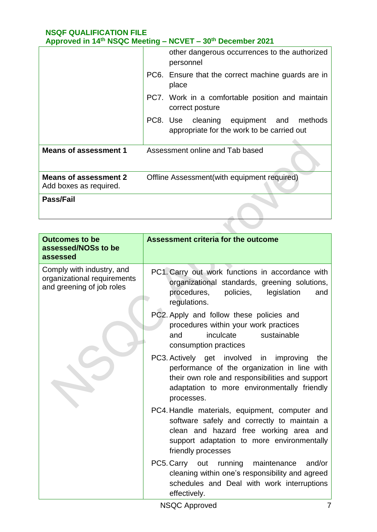|                                                        | other dangerous occurrences to the authorized<br>personnel                               |
|--------------------------------------------------------|------------------------------------------------------------------------------------------|
|                                                        | PC6. Ensure that the correct machine guards are in<br>place                              |
|                                                        | PC7. Work in a comfortable position and maintain<br>correct posture                      |
|                                                        | PC8. Use cleaning equipment and<br>methods<br>appropriate for the work to be carried out |
| <b>Means of assessment 1</b>                           | Assessment online and Tab based                                                          |
| <b>Means of assessment 2</b><br>Add boxes as required. | Offline Assessment (with equipment required)                                             |
| <b>Pass/Fail</b>                                       |                                                                                          |
|                                                        |                                                                                          |

| <b>Outcomes to be</b><br>assessed/NOSs to be<br>assessed                              | <b>Assessment criteria for the outcome</b>                                                                                                                                                                     |
|---------------------------------------------------------------------------------------|----------------------------------------------------------------------------------------------------------------------------------------------------------------------------------------------------------------|
| Comply with industry, and<br>organizational requirements<br>and greening of job roles | PC1. Carry out work functions in accordance with<br>organizational standards, greening solutions,<br>procedures,<br>policies,<br>legislation<br>and<br>regulations.                                            |
|                                                                                       | PC2. Apply and follow these policies and<br>procedures within your work practices<br>inculcate<br>sustainable<br>and<br>consumption practices                                                                  |
|                                                                                       | PC3. Actively get involved in improving<br>the<br>performance of the organization in line with<br>their own role and responsibilities and support<br>adaptation to more environmentally friendly<br>processes. |
|                                                                                       | PC4. Handle materials, equipment, computer and<br>software safely and correctly to maintain a<br>clean and hazard free working area and<br>support adaptation to more environmentally<br>friendly processes    |
|                                                                                       | PC5. Carry out running maintenance<br>and/or<br>cleaning within one's responsibility and agreed<br>schedules and Deal with work interruptions<br>effectively.                                                  |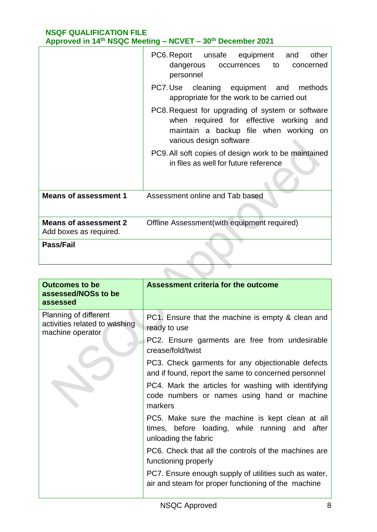|                                                        | PC6. Report unsafe equipment and<br>other<br>dangerous occurrences to<br>concerned<br>personnel                                                                     |
|--------------------------------------------------------|---------------------------------------------------------------------------------------------------------------------------------------------------------------------|
|                                                        | PC7. Use cleaning equipment and methods<br>appropriate for the work to be carried out                                                                               |
|                                                        | PC8. Request for upgrading of system or software<br>when required for effective working<br>and<br>maintain a backup file when working on<br>various design software |
|                                                        | PC9. All soft copies of design work to be maintained<br>in files as well for future reference                                                                       |
| <b>Means of assessment 1</b>                           | Assessment online and Tab based                                                                                                                                     |
| <b>Means of assessment 2</b><br>Add boxes as required. | Offline Assessment (with equipment required)                                                                                                                        |
| <b>Pass/Fail</b>                                       |                                                                                                                                                                     |

| <b>Outcomes to be</b><br>assessed/NOSs to be<br>assessed                   | Assessment criteria for the outcome                                                                                       |
|----------------------------------------------------------------------------|---------------------------------------------------------------------------------------------------------------------------|
| Planning of different<br>activities related to washing<br>machine operator | PC1. Ensure that the machine is empty & clean and<br>ready to use                                                         |
|                                                                            | PC2. Ensure garments are free from undesirable<br>crease/fold/twist                                                       |
|                                                                            | PC3. Check garments for any objectionable defects<br>and if found, report the same to concerned personnel                 |
|                                                                            | PC4. Mark the articles for washing with identifying<br>code numbers or names using hand or machine<br>markers             |
|                                                                            | PC5. Make sure the machine is kept clean at all<br>times, before loading, while running and after<br>unloading the fabric |
|                                                                            | PC6. Check that all the controls of the machines are<br>functioning properly                                              |
|                                                                            | PC7. Ensure enough supply of utilities such as water,<br>air and steam for proper functioning of the machine              |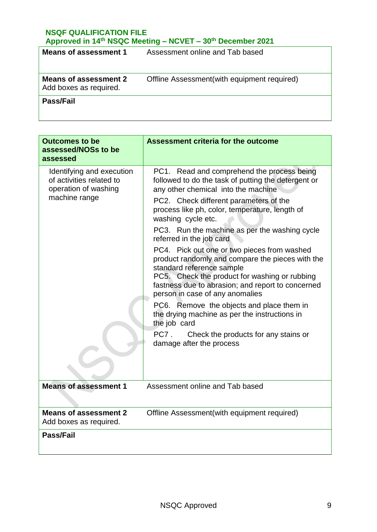| Means of assessment 1                                  | Assessment online and Tab based              |
|--------------------------------------------------------|----------------------------------------------|
| <b>Means of assessment 2</b><br>Add boxes as required. | Offline Assessment (with equipment required) |
| Pass/Fail                                              |                                              |

| <b>Outcomes to be</b><br>assessed/NOSs to be<br>assessed                                       | <b>Assessment criteria for the outcome</b>                                                                                                                                                                                                                                                                                                                                                                                                                                                                                                                                                                                                                                                                                                                                                                 |
|------------------------------------------------------------------------------------------------|------------------------------------------------------------------------------------------------------------------------------------------------------------------------------------------------------------------------------------------------------------------------------------------------------------------------------------------------------------------------------------------------------------------------------------------------------------------------------------------------------------------------------------------------------------------------------------------------------------------------------------------------------------------------------------------------------------------------------------------------------------------------------------------------------------|
| Identifying and execution<br>of activities related to<br>operation of washing<br>machine range | PC1. Read and comprehend the process being<br>followed to do the task of putting the detergent or<br>any other chemical into the machine<br>PC2. Check different parameters of the<br>process like ph, color, temperature, length of<br>washing cycle etc.<br>PC3. Run the machine as per the washing cycle<br>referred in the job card<br>PC4. Pick out one or two pieces from washed<br>product randomly and compare the pieces with the<br>standard reference sample<br>PC5. Check the product for washing or rubbing<br>fastness due to abrasion; and report to concerned<br>person in case of any anomalies<br>PC6. Remove the objects and place them in<br>the drying machine as per the instructions in<br>the job card<br>PC7.<br>Check the products for any stains or<br>damage after the process |
| <b>Means of assessment 1</b>                                                                   | Assessment online and Tab based                                                                                                                                                                                                                                                                                                                                                                                                                                                                                                                                                                                                                                                                                                                                                                            |
| <b>Means of assessment 2</b><br>Add boxes as required.                                         | Offline Assessment(with equipment required)                                                                                                                                                                                                                                                                                                                                                                                                                                                                                                                                                                                                                                                                                                                                                                |
| Pass/Fail                                                                                      |                                                                                                                                                                                                                                                                                                                                                                                                                                                                                                                                                                                                                                                                                                                                                                                                            |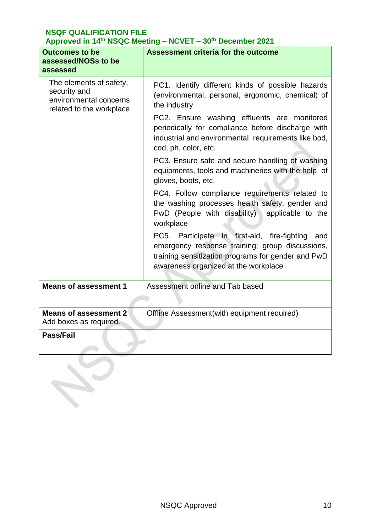| <b>Outcomes to be</b><br>assessed/NOSs to be<br>assessed                                      | <b>Assessment criteria for the outcome</b>                                                                                                                                                                                                                                                                                                                                                                                                                                                                                                                                                                                                                                                                                                                                                                            |
|-----------------------------------------------------------------------------------------------|-----------------------------------------------------------------------------------------------------------------------------------------------------------------------------------------------------------------------------------------------------------------------------------------------------------------------------------------------------------------------------------------------------------------------------------------------------------------------------------------------------------------------------------------------------------------------------------------------------------------------------------------------------------------------------------------------------------------------------------------------------------------------------------------------------------------------|
| The elements of safety,<br>security and<br>environmental concerns<br>related to the workplace | PC1. Identify different kinds of possible hazards<br>(environmental, personal, ergonomic, chemical) of<br>the industry<br>PC2. Ensure washing effluents are monitored<br>periodically for compliance before discharge with<br>industrial and environmental requirements like bod,<br>cod, ph, color, etc.<br>PC3. Ensure safe and secure handling of washing<br>equipments, tools and machineries with the help of<br>gloves, boots, etc.<br>PC4. Follow compliance requirements related to<br>the washing processes health safety, gender and<br>PwD (People with disability) applicable to the<br>workplace<br>PC5. Participate in first-aid, fire-fighting<br>and<br>emergency response training; group discussions,<br>training sensitization programs for gender and PwD<br>awareness organized at the workplace |
| <b>Means of assessment 1</b>                                                                  | Assessment online and Tab based                                                                                                                                                                                                                                                                                                                                                                                                                                                                                                                                                                                                                                                                                                                                                                                       |
| <b>Means of assessment 2</b><br>Add boxes as required.                                        | Offline Assessment(with equipment required)                                                                                                                                                                                                                                                                                                                                                                                                                                                                                                                                                                                                                                                                                                                                                                           |
| <b>Pass/Fail</b>                                                                              |                                                                                                                                                                                                                                                                                                                                                                                                                                                                                                                                                                                                                                                                                                                                                                                                                       |
|                                                                                               |                                                                                                                                                                                                                                                                                                                                                                                                                                                                                                                                                                                                                                                                                                                                                                                                                       |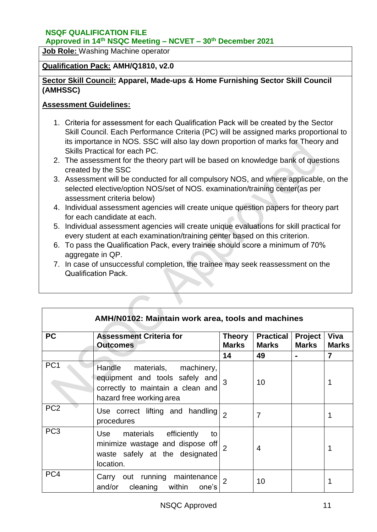### **Approved in 14 th NSQC Meeting – NCVET – 30th December 2021**

**Job Role:** Washing Machine operator

#### **Qualification Pack: AMH/Q1810, v2.0**

### **Sector Skill Council: Apparel, Made-ups & Home Furnishing Sector Skill Council (AMHSSC)**

#### **Assessment Guidelines:**

- 1. Criteria for assessment for each Qualification Pack will be created by the Sector Skill Council. Each Performance Criteria (PC) will be assigned marks proportional to its importance in NOS. SSC will also lay down proportion of marks for Theory and Skills Practical for each PC.
- 2. The assessment for the theory part will be based on knowledge bank of questions created by the SSC
- 3. Assessment will be conducted for all compulsory NOS, and where applicable, on the selected elective/option NOS/set of NOS. examination/training center(as per assessment criteria below)
- 4. Individual assessment agencies will create unique question papers for theory part for each candidate at each.
- 5. Individual assessment agencies will create unique evaluations for skill practical for every student at each examination/training center based on this criterion.
- 6. To pass the Qualification Pack, every trainee should score a minimum of 70% aggregate in QP.
- 7. In case of unsuccessful completion, the trainee may seek reassessment on the Qualification Pack.

|                 | AMH/N0102: Maintain work area, tools and machines                                                                                       |                               |                                  |                         |                      |
|-----------------|-----------------------------------------------------------------------------------------------------------------------------------------|-------------------------------|----------------------------------|-------------------------|----------------------|
| <b>PC</b>       | <b>Assessment Criteria for</b><br><b>Outcomes</b>                                                                                       | <b>Theory</b><br><b>Marks</b> | <b>Practical</b><br><b>Marks</b> | Project<br><b>Marks</b> | Viva<br><b>Marks</b> |
|                 |                                                                                                                                         | 14                            | 49                               | $\blacksquare$          | $\overline{7}$       |
| PC <sub>1</sub> | Handle<br>materials, machinery,<br>equipment and tools safely and $_3$<br>correctly to maintain a clean and<br>hazard free working area |                               | 10                               |                         |                      |
| PC <sub>2</sub> | Use correct lifting and handling<br>procedures                                                                                          | $\overline{2}$                | $\overline{7}$                   |                         |                      |
| PC <sub>3</sub> | materials efficiently<br>Use<br>to<br>minimize wastage and dispose off<br>waste safely at the designated<br>location.                   |                               | 4                                |                         |                      |
| PC4             | Carry out running<br>maintenance<br>and/or cleaning within<br>one's                                                                     |                               | 10                               |                         |                      |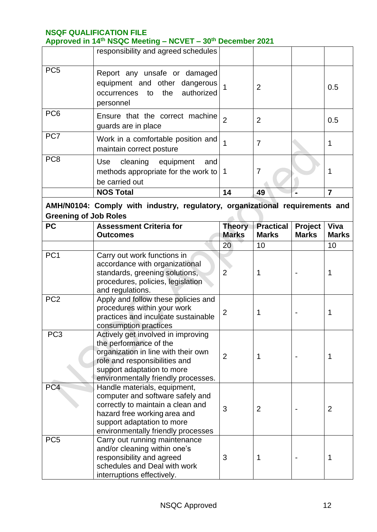**Approved in 14 th NSQC Meeting – NCVET – 30th December 2021**

|                                                                              | responsibility and agreed schedules                                                                            |                |                |  |     |
|------------------------------------------------------------------------------|----------------------------------------------------------------------------------------------------------------|----------------|----------------|--|-----|
| PC <sub>5</sub>                                                              | Report any unsafe or damaged<br>equipment and other dangerous<br>authorized<br>occurrences to the<br>personnel |                | $\overline{2}$ |  | 0.5 |
| PC <sub>6</sub>                                                              | Ensure that the correct machine<br>guards are in place                                                         | $\overline{2}$ | $\overline{2}$ |  | 0.5 |
| PC7                                                                          | Work in a comfortable position and<br>maintain correct posture                                                 |                | 7              |  |     |
| PC <sub>8</sub>                                                              | cleaning equipment<br>Use<br>and<br>methods appropriate for the work to $\vert$ 1<br>be carried out            |                | 7              |  |     |
|                                                                              | <b>NOS Total</b>                                                                                               | 14             | 49             |  |     |
| AMH/N0104: Comply with industry, requistory, organizational requirements and |                                                                                                                |                |                |  |     |

### **AMH/N0104: Comply with industry, regulatory, organizational requirements and Greening of Job Roles**

| <b>PC</b>       | <b>Assessment Criteria for</b><br><b>Outcomes</b>                                                                                                                                                         | <b>Theory</b><br><b>Marks</b> | <b>Practical</b><br><b>Marks</b> | Project<br><b>Marks</b> | Viva<br><b>Marks</b> |
|-----------------|-----------------------------------------------------------------------------------------------------------------------------------------------------------------------------------------------------------|-------------------------------|----------------------------------|-------------------------|----------------------|
|                 |                                                                                                                                                                                                           | 20                            | 10                               |                         | 10                   |
| PC <sub>1</sub> | Carry out work functions in<br>accordance with organizational<br>standards, greening solutions,<br>procedures, policies, legislation<br>and regulations.                                                  | $\overline{2}$                | 1                                |                         | 1                    |
| PC <sub>2</sub> | Apply and follow these policies and<br>procedures within your work<br>practices and inculcate sustainable<br>consumption practices                                                                        | $\overline{2}$                | 1                                |                         | 1                    |
| PC <sub>3</sub> | Actively get involved in improving<br>the performance of the<br>organization in line with their own<br>role and responsibilities and<br>support adaptation to more<br>environmentally friendly processes. | $\overline{2}$                | 1                                |                         | 1                    |
| PC4             | Handle materials, equipment,<br>computer and software safely and<br>correctly to maintain a clean and<br>hazard free working area and<br>support adaptation to more<br>environmentally friendly processes | 3                             | $\overline{2}$                   |                         | $\overline{2}$       |
| PC <sub>5</sub> | Carry out running maintenance<br>and/or cleaning within one's<br>responsibility and agreed<br>schedules and Deal with work<br>interruptions effectively.                                                  | 3                             | 1                                |                         | 1                    |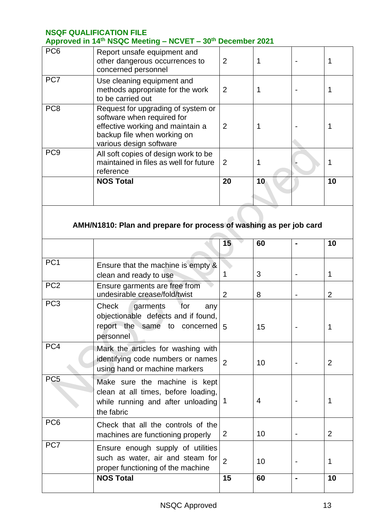|                 | $1.49$ and $1.11$ $1.40$ and $1.19$                                                                                                                            |                |    |    |
|-----------------|----------------------------------------------------------------------------------------------------------------------------------------------------------------|----------------|----|----|
| PC <sub>6</sub> | Report unsafe equipment and<br>other dangerous occurrences to<br>concerned personnel                                                                           | $\overline{2}$ |    |    |
| PC7             | Use cleaning equipment and<br>methods appropriate for the work<br>to be carried out                                                                            | 2              |    |    |
| PC <sub>8</sub> | Request for upgrading of system or<br>software when required for<br>effective working and maintain a<br>backup file when working on<br>various design software | $\overline{2}$ |    |    |
| PC <sub>9</sub> | All soft copies of design work to be<br>maintained in files as well for future<br>reference                                                                    | 2              |    |    |
|                 | <b>NOS Total</b>                                                                                                                                               | 20             | 10 | 10 |

# **AMH/N1810: Plan and prepare for process of washing as per job card**

|                 |                                                                                                                         | 15             | 60 | 10             |
|-----------------|-------------------------------------------------------------------------------------------------------------------------|----------------|----|----------------|
| PC <sub>1</sub> | Ensure that the machine is empty &<br>clean and ready to use                                                            |                | 3  | 1              |
| PC <sub>2</sub> | Ensure garments are free from<br>undesirable crease/fold/twist                                                          | 2              | 8  | $\overline{2}$ |
| PC <sub>3</sub> | Check<br>garments for<br>any<br>objectionable defects and if found,<br>report the same to concerned<br>personnel        | 5              | 15 | 1              |
| PC4             | Mark the articles for washing with<br>identifying code numbers or names<br>using hand or machine markers                | $\overline{2}$ | 10 | 2              |
| PC <sub>5</sub> | Make sure the machine is kept<br>clean at all times, before loading,<br>while running and after unloading<br>the fabric | -1             | 4  | 1              |
| PC <sub>6</sub> | Check that all the controls of the<br>machines are functioning properly                                                 | 2              | 10 | 2              |
| PC7             | Ensure enough supply of utilities<br>such as water, air and steam for<br>proper functioning of the machine              | $\overline{2}$ | 10 | 1              |
|                 | <b>NOS Total</b>                                                                                                        | 15             | 60 | 10             |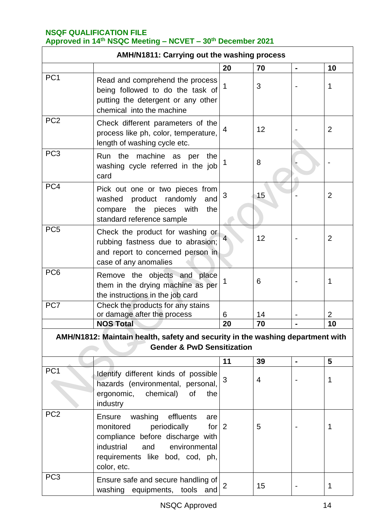| <b>AMH/N1811: Carrying out the washing process</b> |                                                                                                                                                                                                                 |                |                |                |                |
|----------------------------------------------------|-----------------------------------------------------------------------------------------------------------------------------------------------------------------------------------------------------------------|----------------|----------------|----------------|----------------|
|                                                    |                                                                                                                                                                                                                 | 20             | 70             |                | 10             |
| PC <sub>1</sub>                                    | Read and comprehend the process<br>being followed to do the task of<br>putting the detergent or any other<br>chemical into the machine                                                                          | 1              | 3              |                | 1              |
| PC <sub>2</sub>                                    | Check different parameters of the<br>process like ph, color, temperature,<br>length of washing cycle etc.                                                                                                       | 4              | 12             |                | $\overline{2}$ |
| PC <sub>3</sub>                                    | Run the machine as per<br>the<br>washing cycle referred in the job<br>card                                                                                                                                      | 1              | 8              |                |                |
| PC4                                                | Pick out one or two pieces from<br>product randomly<br>washed<br>and<br>compare the pieces with<br>the<br>standard reference sample                                                                             | 3              | 15             |                | $\overline{2}$ |
| PC <sub>5</sub>                                    | Check the product for washing or<br>rubbing fastness due to abrasion;<br>and report to concerned person in<br>case of any anomalies                                                                             | 4              | 12             |                | $\overline{2}$ |
| PC <sub>6</sub>                                    | Remove the objects and place<br>them in the drying machine as per<br>the instructions in the job card                                                                                                           | 1              | 6              |                | 1              |
| PC7                                                | Check the products for any stains<br>or damage after the process                                                                                                                                                | 6              | 14             |                | $\overline{2}$ |
|                                                    | <b>NOS Total</b>                                                                                                                                                                                                | 20             | 70             |                | 10             |
|                                                    | AMH/N1812: Maintain health, safety and security in the washing department with<br><b>Gender &amp; PwD Sensitization</b>                                                                                         |                |                |                |                |
|                                                    |                                                                                                                                                                                                                 | 11             | 39             | $\blacksquare$ | 5              |
| PC <sub>1</sub>                                    | Identify different kinds of possible<br>hazards (environmental, personal,<br>ergonomic, chemical)<br>0f<br>the<br>industry                                                                                      | 3              | $\overline{4}$ |                | 1              |
| PC <sub>2</sub>                                    | washing<br>effluents<br>Ensure<br>are<br>monitored<br>periodically<br>for $\vert$ 2<br>compliance before discharge with<br>industrial<br>environmental<br>and<br>requirements like bod, cod, ph,<br>color, etc. |                | 5              |                | 1              |
| PC <sub>3</sub>                                    | Ensure safe and secure handling of<br>washing equipments, tools<br>and                                                                                                                                          | $\overline{2}$ | 15             |                | 1              |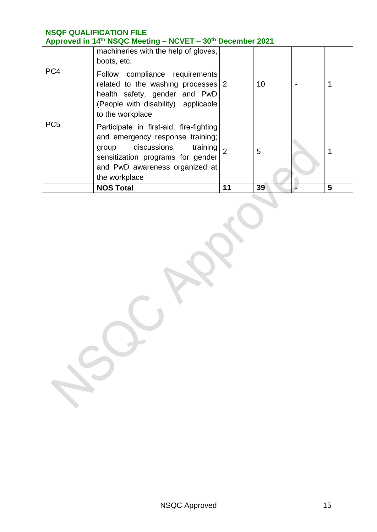|                 | $1.49$ $1.70$ $1.11$ $1.10$ $1.00$ $1.00$ $1.10$<br>machineries with the help of gloves,<br>boots, etc.                                                                                            |    |    |   |
|-----------------|----------------------------------------------------------------------------------------------------------------------------------------------------------------------------------------------------|----|----|---|
| PC4             | Follow compliance requirements<br>related to the washing processes 2<br>health safety, gender and PwD<br>(People with disability) applicable<br>to the workplace                                   |    | 10 |   |
| PC <sub>5</sub> | Participate in first-aid, fire-fighting<br>and emergency response training;<br>group discussions, training<br>sensitization programs for gender<br>and PwD awareness organized at<br>the workplace |    | 5  |   |
|                 | <b>NOS Total</b>                                                                                                                                                                                   | 11 | 39 | 5 |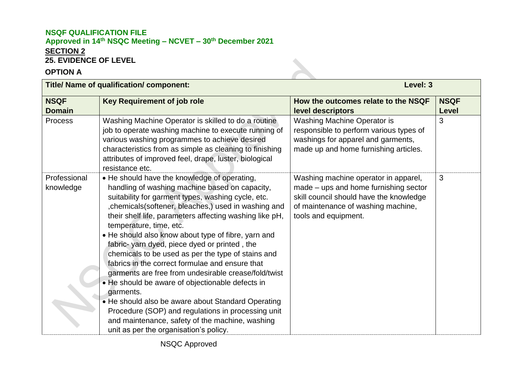## **NSQF QUALIFICATION FILE Approved in 14 th NSQC Meeting – NCVET – 30th December 2021 SECTION 2 25. EVIDENCE OF LEVEL**

## **OPTION A**

| <b>Title/ Name of qualification/ component:</b> |                                                                                                                                                                                                                                                                                                                                                                                                                                                                                                                                                                                                                                                                                                                                                                                                                                                       | Level: 3                                                                                                                                                                               |                             |  |
|-------------------------------------------------|-------------------------------------------------------------------------------------------------------------------------------------------------------------------------------------------------------------------------------------------------------------------------------------------------------------------------------------------------------------------------------------------------------------------------------------------------------------------------------------------------------------------------------------------------------------------------------------------------------------------------------------------------------------------------------------------------------------------------------------------------------------------------------------------------------------------------------------------------------|----------------------------------------------------------------------------------------------------------------------------------------------------------------------------------------|-----------------------------|--|
| <b>NSQF</b><br><b>Domain</b>                    | <b>Key Requirement of job role</b>                                                                                                                                                                                                                                                                                                                                                                                                                                                                                                                                                                                                                                                                                                                                                                                                                    | How the outcomes relate to the NSQF<br>level descriptors                                                                                                                               | <b>NSQF</b><br><b>Level</b> |  |
| <b>Process</b>                                  | Washing Machine Operator is skilled to do a routine<br>job to operate washing machine to execute running of<br>various washing programmes to achieve desired<br>characteristics from as simple as cleaning to finishing<br>attributes of improved feel, drape, luster, biological<br>resistance etc.                                                                                                                                                                                                                                                                                                                                                                                                                                                                                                                                                  | Washing Machine Operator is<br>responsible to perform various types of<br>washings for apparel and garments,<br>made up and home furnishing articles.                                  | 3                           |  |
| Professional<br>knowledge                       | • He should have the knowledge of operating,<br>handling of washing machine based on capacity,<br>suitability for garment types, washing cycle, etc.<br>, chemicals (softener, bleaches,) used in washing and<br>their shelf life, parameters affecting washing like pH,<br>temperature, time, etc.<br>• He should also know about type of fibre, yarn and<br>fabric-yarn dyed, piece dyed or printed, the<br>chemicals to be used as per the type of stains and<br>fabrics in the correct formulae and ensure that<br>garments are free from undesirable crease/fold/twist<br>• He should be aware of objectionable defects in<br>garments.<br>• He should also be aware about Standard Operating<br>Procedure (SOP) and regulations in processing unit<br>and maintenance, safety of the machine, washing<br>unit as per the organisation's policy. | Washing machine operator in apparel,<br>made - ups and home furnishing sector<br>skill council should have the knowledge<br>of maintenance of washing machine,<br>tools and equipment. | 3                           |  |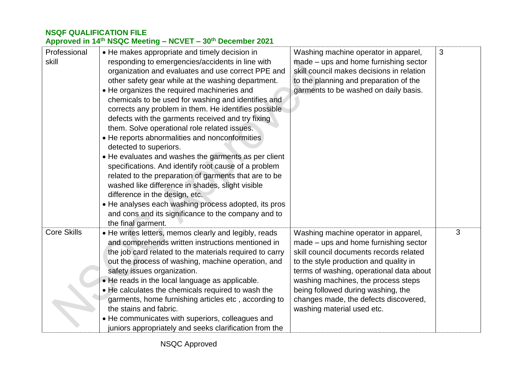#### **Approved in 14 th NSQC Meeting – NCVET – 30th December 2021**

| Professional<br>skill | • He makes appropriate and timely decision in<br>responding to emergencies/accidents in line with<br>organization and evaluates and use correct PPE and<br>other safety gear while at the washing department.<br>• He organizes the required machineries and<br>chemicals to be used for washing and identifies and<br>corrects any problem in them. He identifies possible<br>defects with the garments received and try fixing<br>them. Solve operational role related issues.<br>• He reports abnormalities and nonconformities<br>detected to superiors.<br>• He evaluates and washes the garments as per client<br>specifications. And identify root cause of a problem<br>related to the preparation of garments that are to be<br>washed like difference in shades, slight visible<br>difference in the design, etc.<br>• He analyses each washing process adopted, its pros<br>and cons and its significance to the company and to<br>the final garment. | Washing machine operator in apparel,<br>made – ups and home furnishing sector<br>skill council makes decisions in relation<br>to the planning and preparation of the<br>garments to be washed on daily basis.                                                                                                                                                      | 3 |
|-----------------------|------------------------------------------------------------------------------------------------------------------------------------------------------------------------------------------------------------------------------------------------------------------------------------------------------------------------------------------------------------------------------------------------------------------------------------------------------------------------------------------------------------------------------------------------------------------------------------------------------------------------------------------------------------------------------------------------------------------------------------------------------------------------------------------------------------------------------------------------------------------------------------------------------------------------------------------------------------------|--------------------------------------------------------------------------------------------------------------------------------------------------------------------------------------------------------------------------------------------------------------------------------------------------------------------------------------------------------------------|---|
| <b>Core Skills</b>    | • He writes letters, memos clearly and legibly, reads<br>and comprehends written instructions mentioned in<br>the job card related to the materials required to carry<br>out the process of washing, machine operation, and<br>safety issues organization.<br>• He reads in the local language as applicable.<br>• He calculates the chemicals required to wash the<br>garments, home furnishing articles etc, according to<br>the stains and fabric.<br>• He communicates with superiors, colleagues and<br>juniors appropriately and seeks clarification from the                                                                                                                                                                                                                                                                                                                                                                                              | Washing machine operator in apparel,<br>made - ups and home furnishing sector<br>skill council documents records related<br>to the style production and quality in<br>terms of washing, operational data about<br>washing machines, the process steps<br>being followed during washing, the<br>changes made, the defects discovered,<br>washing material used etc. | 3 |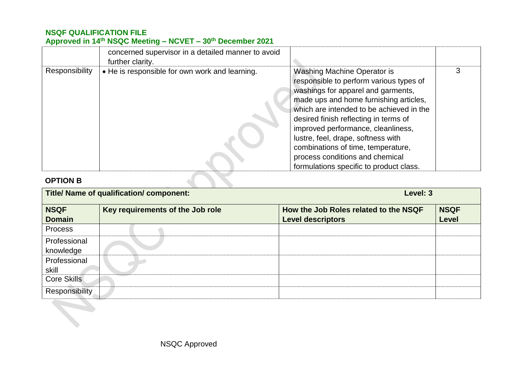|                 | concerned supervisor in a detailed manner to avoid<br>further clarity. |                                                                                                                                                                                                                                                                                                                                                                                                                                                    |  |
|-----------------|------------------------------------------------------------------------|----------------------------------------------------------------------------------------------------------------------------------------------------------------------------------------------------------------------------------------------------------------------------------------------------------------------------------------------------------------------------------------------------------------------------------------------------|--|
| Responsibility  | • He is responsible for own work and learning.                         | <b>Washing Machine Operator is</b><br>responsible to perform various types of<br>washings for apparel and garments,<br>made ups and home furnishing articles,<br>which are intended to be achieved in the<br>desired finish reflecting in terms of<br>improved performance, cleanliness,<br>lustre, feel, drape, softness with<br>combinations of time, temperature,<br>process conditions and chemical<br>formulations specific to product class. |  |
| <b>OPTION B</b> |                                                                        |                                                                                                                                                                                                                                                                                                                                                                                                                                                    |  |

## **OPTION B**

| <b>Title/ Name of qualification/ component:</b> |                                  | Level: 3                                                          |                      |  |
|-------------------------------------------------|----------------------------------|-------------------------------------------------------------------|----------------------|--|
| <b>NSQF</b><br><b>Domain</b>                    | Key requirements of the Job role | How the Job Roles related to the NSQF<br><b>Level descriptors</b> | <b>NSQF</b><br>Level |  |
| <b>Process</b>                                  |                                  |                                                                   |                      |  |
| Professional<br>knowledge                       |                                  |                                                                   |                      |  |
| Professional<br>skill                           |                                  |                                                                   |                      |  |
| <b>Core Skills</b><br><b>Responsibility</b>     |                                  |                                                                   |                      |  |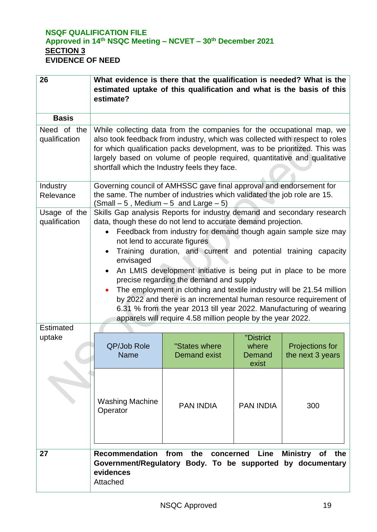## **NSQF QUALIFICATION FILE Approved in 14 th NSQC Meeting – NCVET – 30th December 2021 SECTION 3 EVIDENCE OF NEED**

| 26                            | What evidence is there that the qualification is needed? What is the<br>estimated uptake of this qualification and what is the basis of this<br>estimate?                                                                                                                                                                                                                                                                                                                                                                                                                                                                                                                                                                 |                                      |                                       |                                     |
|-------------------------------|---------------------------------------------------------------------------------------------------------------------------------------------------------------------------------------------------------------------------------------------------------------------------------------------------------------------------------------------------------------------------------------------------------------------------------------------------------------------------------------------------------------------------------------------------------------------------------------------------------------------------------------------------------------------------------------------------------------------------|--------------------------------------|---------------------------------------|-------------------------------------|
| <b>Basis</b>                  |                                                                                                                                                                                                                                                                                                                                                                                                                                                                                                                                                                                                                                                                                                                           |                                      |                                       |                                     |
| Need of the<br>qualification  | While collecting data from the companies for the occupational map, we<br>also took feedback from industry, which was collected with respect to roles<br>for which qualification packs development, was to be prioritized. This was<br>largely based on volume of people required, quantitative and qualitative<br>shortfall which the Industry feels they face.                                                                                                                                                                                                                                                                                                                                                           |                                      |                                       |                                     |
| Industry<br>Relevance         | Governing council of AMHSSC gave final approval and endorsement for<br>the same. The number of industries which validated the job role are 15.<br>$(Small - 5, Medium - 5 and Large - 5)$                                                                                                                                                                                                                                                                                                                                                                                                                                                                                                                                 |                                      |                                       |                                     |
| Usage of the<br>qualification | Skills Gap analysis Reports for industry demand and secondary research<br>data, though these do not lend to accurate demand projection.<br>Feedback from industry for demand though again sample size may<br>not lend to accurate figures<br>Training duration, and current and potential training capacity<br>envisaged<br>An LMIS development initiative is being put in place to be more<br>precise regarding the demand and supply<br>The employment in clothing and textile industry will be 21.54 million<br>by 2022 and there is an incremental human resource requirement of<br>6.31 % from the year 2013 till year 2022. Manufacturing of wearing<br>apparels will require 4.58 million people by the year 2022. |                                      |                                       |                                     |
| Estimated<br>uptake           | QP/Job Role<br><b>Name</b>                                                                                                                                                                                                                                                                                                                                                                                                                                                                                                                                                                                                                                                                                                | "States where<br><b>Demand exist</b> | "District<br>where<br>Demand<br>exist | Projections for<br>the next 3 years |
|                               | <b>Washing Machine</b><br>Operator                                                                                                                                                                                                                                                                                                                                                                                                                                                                                                                                                                                                                                                                                        | <b>PAN INDIA</b>                     | <b>PAN INDIA</b>                      | 300                                 |
| 27                            | Recommendation from the concerned<br>Ministry of the<br>Line<br>Government/Regulatory Body. To be supported by documentary<br>evidences<br>Attached                                                                                                                                                                                                                                                                                                                                                                                                                                                                                                                                                                       |                                      |                                       |                                     |